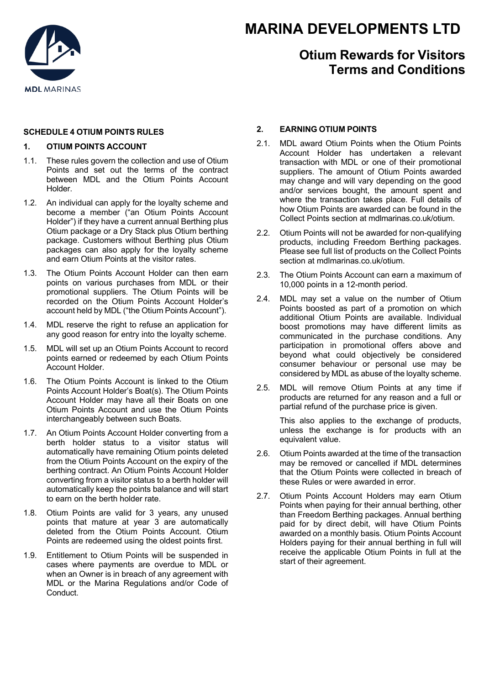

# **MARINA DEVELOPMENTS LTD**

# **Otium Rewards for Visitors Terms and Conditions**

## **SCHEDULE 4 OTIUM POINTS RULES**

## **1. OTIUM POINTS ACCOUNT**

- 1.1. These rules govern the collection and use of Otium Points and set out the terms of the contract between MDL and the Otium Points Account Holder.
- 1.2. An individual can apply for the loyalty scheme and become a member ("an Otium Points Account Holder") if they have a current annual Berthing plus Otium package or a Dry Stack plus Otium berthing package. Customers without Berthing plus Otium packages can also apply for the loyalty scheme and earn Otium Points at the visitor rates.
- 1.3. The Otium Points Account Holder can then earn points on various purchases from MDL or their .<br>promotional suppliers. The Otium Points will be recorded on the Otium Points Account Holder's account held by MDL ("the Otium Points Account").
- 1.4. MDL reserve the right to refuse an application for any good reason for entry into the loyalty scheme.
- 1.5. MDL will set up an Otium Points Account to record points earned or redeemed by each Otium Points Account Holder.
- 1.6. The Otium Points Account is linked to the Otium Points Account Holder's Boat(s). The Otium Points Account Holder may have all their Boats on one Otium Points Account and use the Otium Points interchangeably between such Boats.
- 1.7. An Otium Points Account Holder converting from a berth holder status to a visitor status will automatically have remaining Otium points deleted from the Otium Points Account on the expiry of the berthing contract. An Otium Points Account Holder converting from a visitor status to a berth holder will automatically keep the points balance and will start to earn on the berth holder rate.
- 1.8. Otium Points are valid for 3 years, any unused points that mature at year 3 are automatically deleted from the Otium Points Account. Otium Points are redeemed using the oldest points first.
- 1.9. Entitlement to Otium Points will be suspended in cases where payments are overdue to MDL or when an Owner is in breach of any agreement with MDL or the Marina Regulations and/or Code of Conduct.

# **2. EARNING OTIUM POINTS**

- 2.1. MDL award Otium Points when the Otium Points Account Holder has undertaken a relevant transaction with MDL or one of their promotional suppliers. The amount of Otium Points awarded may change and will vary depending on the good and/or services bought, the amount spent and where the transaction takes place. Full details of how Otium Points are awarded can be found in the Collect Points section at mdlmarinas.co.uk/otium.
- 2.2. Otium Points will not be awarded for non-qualifying products, including Freedom Berthing packages. Please see full list of products on the Collect Points section at mdlmarinas.co.uk/otium.
- 2.3. The Otium Points Account can earn a maximum of 10,000 points in a 12-month period.
- 2.4. MDL may set a value on the number of Otium Points boosted as part of a promotion on which additional Otium Points are available. Individual boost promotions may have different limits as communicated in the purchase conditions. Any participation in promotional offers above and beyond what could objectively be considered consumer behaviour or personal use may be considered by MDL as abuse of the loyalty scheme.
- 2.5. MDL will remove Otium Points at any time if products are returned for any reason and a full or partial refund of the purchase price is given.

This also applies to the exchange of products, unless the exchange is for products with an equivalent value.

- 2.6. Otium Points awarded at the time of the transaction may be removed or cancelled if MDL determines that the Otium Points were collected in breach of these Rules or were awarded in error.
- 2.7. Otium Points Account Holders may earn Otium Points when paying for their annual berthing, other than Freedom Berthing packages. Annual berthing paid for by direct debit, will have Otium Points awarded on a monthly basis. Otium Points Account Holders paying for their annual berthing in full will receive the applicable Otium Points in full at the start of their agreement.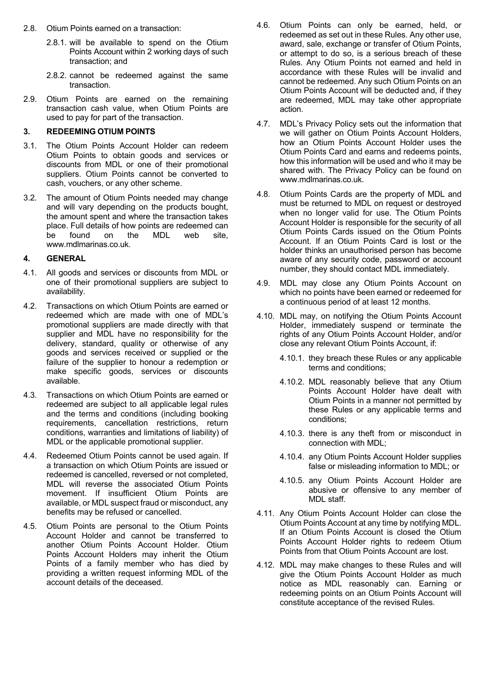- 2.8. Otium Points earned on a transaction:
	- 2.8.1. will be available to spend on the Otium Points Account within 2 working days of such transaction; and
	- 2.8.2. cannot be redeemed against the same transaction.
- 2.9. Otium Points are earned on the remaining transaction cash value, when Otium Points are used to pay for part of the transaction.

### **3. REDEEMING OTIUM POINTS**

- 3.1. The Otium Points Account Holder can redeem Otium Points to obtain goods and services or discounts from MDL or one of their promotional suppliers. Otium Points cannot be converted to cash, vouchers, or any other scheme.
- 3.2. The amount of Otium Points needed may change and will vary depending on the products bought, the amount spent and where the transaction takes place. Full details of how points are redeemed can be found on the MDL web site, www.mdlmarinas.co.uk.

#### **4. GENERAL**

- 4.1. All goods and services or discounts from MDL or one of their promotional suppliers are subject to availability.
- 4.2. Transactions on which Otium Points are earned or redeemed which are made with one of MDL's promotional suppliers are made directly with that supplier and MDL have no responsibility for the delivery, standard, quality or otherwise of any goods and services received or supplied or the failure of the supplier to honour a redemption or make specific goods, services or discounts available.
- 4.3. Transactions on which Otium Points are earned or redeemed are subject to all applicable legal rules and the terms and conditions (including booking requirements, cancellation restrictions, return conditions, warranties and limitations of liability) of MDL or the applicable promotional supplier.
- 4.4. Redeemed Otium Points cannot be used again. If a transaction on which Otium Points are issued or redeemed is cancelled, reversed or not completed, MDL will reverse the associated Otium Points movement. If insufficient Otium Points are available, or MDL suspect fraud or misconduct, any benefits may be refused or cancelled.
- 4.5. Otium Points are personal to the Otium Points Account Holder and cannot be transferred to another Otium Points Account Holder. Otium Points Account Holders may inherit the Otium Points of a family member who has died by providing a written request informing MDL of the account details of the deceased.
- 4.6. Otium Points can only be earned, held, or redeemed as set out in these Rules. Any other use, award, sale, exchange or transfer of Otium Points, or attempt to do so, is a serious breach of these Rules. Any Otium Points not earned and held in accordance with these Rules will be invalid and cannot be redeemed. Any such Otium Points on an Otium Points Account will be deducted and, if they are redeemed, MDL may take other appropriate action.
- 4.7. MDL's Privacy Policy sets out the information that we will gather on Otium Points Account Holders, how an Otium Points Account Holder uses the Otium Points Card and earns and redeems points, how this information will be used and who it may be shared with. The Privacy Policy can be found on www.mdlmarinas.co.uk.
- 4.8. Otium Points Cards are the property of MDL and must be returned to MDL on request or destroyed when no longer valid for use. The Otium Points Account Holder is responsible for the security of all Otium Points Cards issued on the Otium Points Account. If an Otium Points Card is lost or the holder thinks an unauthorised person has become aware of any security code, password or account number, they should contact MDL immediately.
- 4.9. MDL may close any Otium Points Account on which no points have been earned or redeemed for a continuous period of at least 12 months.
- 4.10. MDL may, on notifying the Otium Points Account Holder, immediately suspend or terminate the rights of any Otium Points Account Holder, and/or close any relevant Otium Points Account, if:
	- 4.10.1. they breach these Rules or any applicable terms and conditions;
	- 4.10.2. MDL reasonably believe that any Otium Points Account Holder have dealt with Otium Points in a manner not permitted by these Rules or any applicable terms and conditions;
	- 4.10.3. there is any theft from or misconduct in connection with MDL;
	- 4.10.4. any Otium Points Account Holder supplies false or misleading information to MDL; or
	- 4.10.5. any Otium Points Account Holder are abusive or offensive to any member of MDL staff.
- 4.11. Any Otium Points Account Holder can close the Otium Points Account at any time by notifying MDL. If an Otium Points Account is closed the Otium Points Account Holder rights to redeem Otium Points from that Otium Points Account are lost.
- 4.12. MDL may make changes to these Rules and will give the Otium Points Account Holder as much notice as MDL reasonably can. Earning or redeeming points on an Otium Points Account will constitute acceptance of the revised Rules.